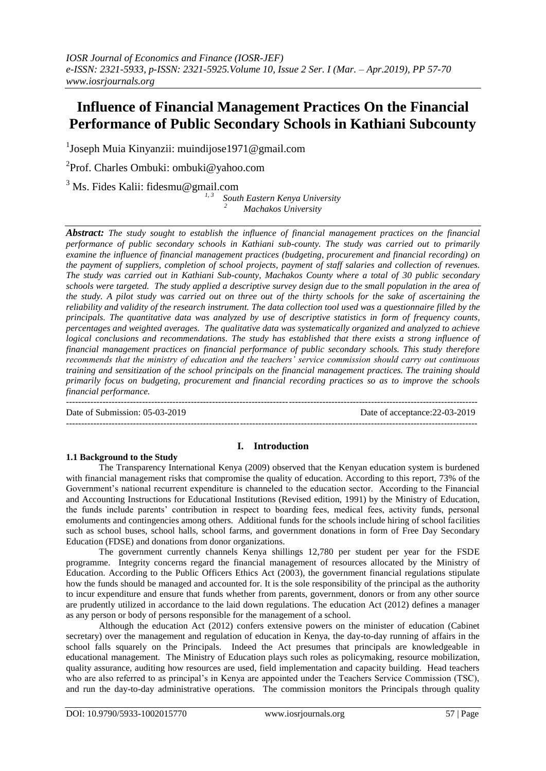# **Influence of Financial Management Practices On the Financial Performance of Public Secondary Schools in Kathiani Subcounty**

<sup>1</sup>Joseph Muia Kinyanzii: muindijose1971@gmail.com

<sup>2</sup>Prof. Charles Ombuki: ombuki@yahoo.com

 $3$  Ms. Fides Kalii: fidesmu@gmail.com

*1, 3 South Eastern Kenya University <sup>2</sup>Machakos University*

*Abstract: The study sought to establish the influence of financial management practices on the financial performance of public secondary schools in Kathiani sub-county. The study was carried out to primarily examine the influence of financial management practices (budgeting, procurement and financial recording) on the payment of suppliers, completion of school projects, payment of staff salaries and collection of revenues. The study was carried out in Kathiani Sub-county, Machakos County where a total of 30 public secondary schools were targeted. The study applied a descriptive survey design due to the small population in the area of the study. A pilot study was carried out on three out of the thirty schools for the sake of ascertaining the reliability and validity of the research instrument. The data collection tool used was a questionnaire filled by the principals. The quantitative data was analyzed by use of descriptive statistics in form of frequency counts, percentages and weighted averages. The qualitative data was systematically organized and analyzed to achieve logical conclusions and recommendations. The study has established that there exists a strong influence of financial management practices on financial performance of public secondary schools. This study therefore recommends that the ministry of education and the teachers' service commission should carry out continuous training and sensitization of the school principals on the financial management practices. The training should primarily focus on budgeting, procurement and financial recording practices so as to improve the schools financial performance.*

---------------------------------------------------------------------------------------------------------------------------------------

Date of acceptance: 22-03-2019 ---------------------------------------------------------------------------------------------------------------------------------------

## **I. Introduction**

## **1.1 Background to the Study**

The Transparency International Kenya (2009) observed that the Kenyan education system is burdened with financial management risks that compromise the quality of education. According to this report, 73% of the Government's national recurrent expenditure is channeled to the education sector. According to the Financial and Accounting Instructions for Educational Institutions (Revised edition, 1991) by the Ministry of Education, the funds include parents' contribution in respect to boarding fees, medical fees, activity funds, personal emoluments and contingencies among others. Additional funds for the schools include hiring of school facilities such as school buses, school halls, school farms, and government donations in form of Free Day Secondary Education (FDSE) and donations from donor organizations.

The government currently channels Kenya shillings 12,780 per student per year for the FSDE programme. Integrity concerns regard the financial management of resources allocated by the Ministry of Education. According to the Public Officers Ethics Act (2003), the government financial regulations stipulate how the funds should be managed and accounted for. It is the sole responsibility of the principal as the authority to incur expenditure and ensure that funds whether from parents, government, donors or from any other source are prudently utilized in accordance to the laid down regulations. The education Act (2012) defines a manager as any person or body of persons responsible for the management of a school.

Although the education Act (2012) confers extensive powers on the minister of education (Cabinet secretary) over the management and regulation of education in Kenya, the day-to-day running of affairs in the school falls squarely on the Principals. Indeed the Act presumes that principals are knowledgeable in educational management. The Ministry of Education plays such roles as policymaking, resource mobilization, quality assurance, auditing how resources are used, field implementation and capacity building. Head teachers who are also referred to as principal's in Kenya are appointed under the Teachers Service Commission (TSC), and run the day-to-day administrative operations. The commission monitors the Principals through quality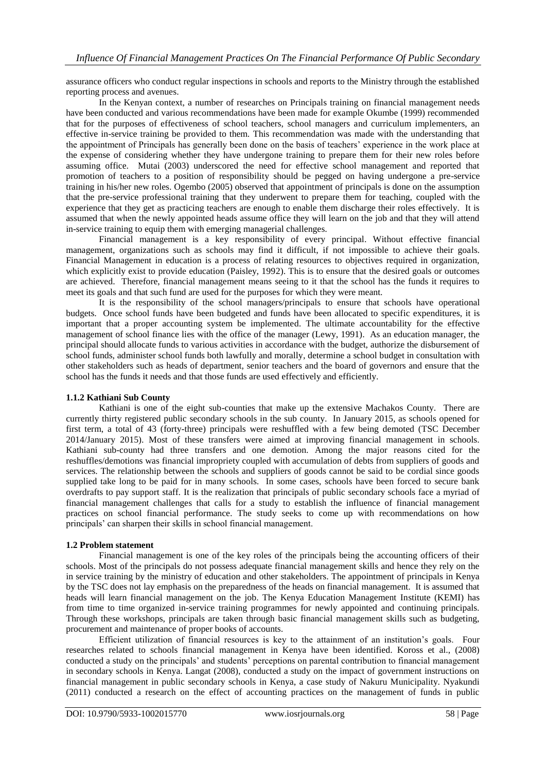assurance officers who conduct regular inspections in schools and reports to the Ministry through the established reporting process and avenues.

In the Kenyan context, a number of researches on Principals training on financial management needs have been conducted and various recommendations have been made for example Okumbe (1999) recommended that for the purposes of effectiveness of school teachers, school managers and curriculum implementers, an effective in-service training be provided to them. This recommendation was made with the understanding that the appointment of Principals has generally been done on the basis of teachers' experience in the work place at the expense of considering whether they have undergone training to prepare them for their new roles before assuming office. Mutai (2003) underscored the need for effective school management and reported that promotion of teachers to a position of responsibility should be pegged on having undergone a pre-service training in his/her new roles. Ogembo (2005) observed that appointment of principals is done on the assumption that the pre-service professional training that they underwent to prepare them for teaching, coupled with the experience that they get as practicing teachers are enough to enable them discharge their roles effectively. It is assumed that when the newly appointed heads assume office they will learn on the job and that they will attend in-service training to equip them with emerging managerial challenges.

Financial management is a key responsibility of every principal. Without effective financial management, organizations such as schools may find it difficult, if not impossible to achieve their goals. Financial Management in education is a process of relating resources to objectives required in organization, which explicitly exist to provide education (Paisley, 1992). This is to ensure that the desired goals or outcomes are achieved. Therefore, financial management means seeing to it that the school has the funds it requires to meet its goals and that such fund are used for the purposes for which they were meant.

It is the responsibility of the school managers/principals to ensure that schools have operational budgets. Once school funds have been budgeted and funds have been allocated to specific expenditures, it is important that a proper accounting system be implemented. The ultimate accountability for the effective management of school finance lies with the office of the manager (Lewy, 1991). As an education manager, the principal should allocate funds to various activities in accordance with the budget, authorize the disbursement of school funds, administer school funds both lawfully and morally, determine a school budget in consultation with other stakeholders such as heads of department, senior teachers and the board of governors and ensure that the school has the funds it needs and that those funds are used effectively and efficiently.

## **1.1.2 Kathiani Sub County**

Kathiani is one of the eight sub-counties that make up the extensive Machakos County. There are currently thirty registered public secondary schools in the sub county. In January 2015, as schools opened for first term, a total of 43 (forty-three) principals were reshuffled with a few being demoted (TSC December 2014/January 2015). Most of these transfers were aimed at improving financial management in schools. Kathiani sub-county had three transfers and one demotion. Among the major reasons cited for the reshuffles/demotions was financial impropriety coupled with accumulation of debts from suppliers of goods and services. The relationship between the schools and suppliers of goods cannot be said to be cordial since goods supplied take long to be paid for in many schools. In some cases, schools have been forced to secure bank overdrafts to pay support staff. It is the realization that principals of public secondary schools face a myriad of financial management challenges that calls for a study to establish the influence of financial management practices on school financial performance. The study seeks to come up with recommendations on how principals' can sharpen their skills in school financial management.

## **1.2 Problem statement**

Financial management is one of the key roles of the principals being the accounting officers of their schools. Most of the principals do not possess adequate financial management skills and hence they rely on the in service training by the ministry of education and other stakeholders. The appointment of principals in Kenya by the TSC does not lay emphasis on the preparedness of the heads on financial management. It is assumed that heads will learn financial management on the job. The Kenya Education Management Institute (KEMI) has from time to time organized in-service training programmes for newly appointed and continuing principals. Through these workshops, principals are taken through basic financial management skills such as budgeting, procurement and maintenance of proper books of accounts.

Efficient utilization of financial resources is key to the attainment of an institution's goals. Four researches related to schools financial management in Kenya have been identified. Koross et al., (2008) conducted a study on the principals' and students' perceptions on parental contribution to financial management in secondary schools in Kenya. Langat (2008), conducted a study on the impact of government instructions on financial management in public secondary schools in Kenya, a case study of Nakuru Municipality. Nyakundi (2011) conducted a research on the effect of accounting practices on the management of funds in public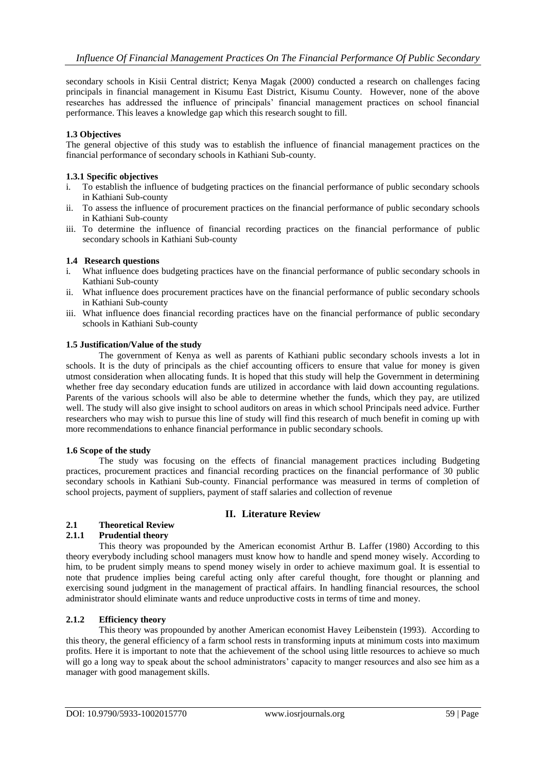secondary schools in Kisii Central district; Kenya Magak (2000) conducted a research on challenges facing principals in financial management in Kisumu East District, Kisumu County. However, none of the above researches has addressed the influence of principals' financial management practices on school financial performance. This leaves a knowledge gap which this research sought to fill.

## **1.3 Objectives**

The general objective of this study was to establish the influence of financial management practices on the financial performance of secondary schools in Kathiani Sub-county.

## **1.3.1 Specific objectives**

- i. To establish the influence of budgeting practices on the financial performance of public secondary schools in Kathiani Sub-county
- ii. To assess the influence of procurement practices on the financial performance of public secondary schools in Kathiani Sub-county
- iii. To determine the influence of financial recording practices on the financial performance of public secondary schools in Kathiani Sub-county

## **1.4 Research questions**

- i. What influence does budgeting practices have on the financial performance of public secondary schools in Kathiani Sub-county
- ii. What influence does procurement practices have on the financial performance of public secondary schools in Kathiani Sub-county
- iii. What influence does financial recording practices have on the financial performance of public secondary schools in Kathiani Sub-county

## **1.5 Justification/Value of the study**

The government of Kenya as well as parents of Kathiani public secondary schools invests a lot in schools. It is the duty of principals as the chief accounting officers to ensure that value for money is given utmost consideration when allocating funds. It is hoped that this study will help the Government in determining whether free day secondary education funds are utilized in accordance with laid down accounting regulations. Parents of the various schools will also be able to determine whether the funds, which they pay, are utilized well. The study will also give insight to school auditors on areas in which school Principals need advice. Further researchers who may wish to pursue this line of study will find this research of much benefit in coming up with more recommendations to enhance financial performance in public secondary schools.

#### **1.6 Scope of the study**

The study was focusing on the effects of financial management practices including Budgeting practices, procurement practices and financial recording practices on the financial performance of 30 public secondary schools in Kathiani Sub-county. Financial performance was measured in terms of completion of school projects, payment of suppliers, payment of staff salaries and collection of revenue

## **II. Literature Review**

# **2.1 Theoretical Review**

## **2.1.1 Prudential theory**

This theory was propounded by the American economist Arthur B. Laffer (1980) According to this theory everybody including school managers must know how to handle and spend money wisely. According to him, to be prudent simply means to spend money wisely in order to achieve maximum goal. It is essential to note that prudence implies being careful acting only after careful thought, fore thought or planning and exercising sound judgment in the management of practical affairs. In handling financial resources, the school administrator should eliminate wants and reduce unproductive costs in terms of time and money.

#### **2.1.2 Efficiency theory**

This theory was propounded by another American economist Havey Leibenstein (1993). According to this theory, the general efficiency of a farm school rests in transforming inputs at minimum costs into maximum profits. Here it is important to note that the achievement of the school using little resources to achieve so much will go a long way to speak about the school administrators' capacity to manger resources and also see him as a manager with good management skills.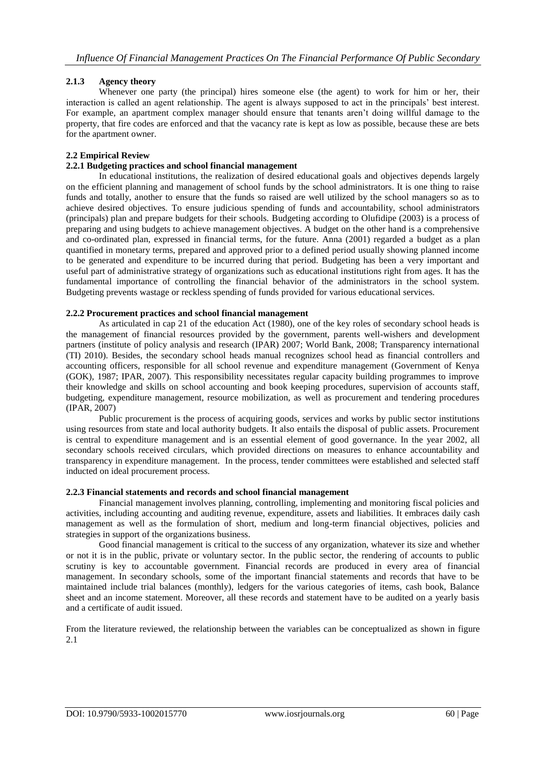## **2.1.3 Agency theory**

Whenever one party (the principal) hires someone else (the agent) to work for him or her, their interaction is called an agent relationship. The agent is always supposed to act in the principals' best interest. For example, an apartment complex manager should ensure that tenants aren't doing willful damage to the property, that fire codes are enforced and that the vacancy rate is kept as low as possible, because these are bets for the apartment owner.

## **2.2 Empirical Review**

## **2.2.1 Budgeting practices and school financial management**

In educational institutions, the realization of desired educational goals and objectives depends largely on the efficient planning and management of school funds by the school administrators. It is one thing to raise funds and totally, another to ensure that the funds so raised are well utilized by the school managers so as to achieve desired objectives. To ensure judicious spending of funds and accountability, school administrators (principals) plan and prepare budgets for their schools. Budgeting according to Olufidipe (2003) is a process of preparing and using budgets to achieve management objectives. A budget on the other hand is a comprehensive and co-ordinated plan, expressed in financial terms, for the future. Anna (2001) regarded a budget as a plan quantified in monetary terms, prepared and approved prior to a defined period usually showing planned income to be generated and expenditure to be incurred during that period. Budgeting has been a very important and useful part of administrative strategy of organizations such as educational institutions right from ages. It has the fundamental importance of controlling the financial behavior of the administrators in the school system. Budgeting prevents wastage or reckless spending of funds provided for various educational services.

## **2.2.2 Procurement practices and school financial management**

As articulated in cap 21 of the education Act (1980), one of the key roles of secondary school heads is the management of financial resources provided by the government, parents well-wishers and development partners (institute of policy analysis and research (IPAR) 2007; World Bank, 2008; Transparency international (TI) 2010). Besides, the secondary school heads manual recognizes school head as financial controllers and accounting officers, responsible for all school revenue and expenditure management (Government of Kenya (GOK), 1987; IPAR, 2007). This responsibility necessitates regular capacity building programmes to improve their knowledge and skills on school accounting and book keeping procedures, supervision of accounts staff, budgeting, expenditure management, resource mobilization, as well as procurement and tendering procedures (IPAR, 2007)

Public procurement is the process of acquiring goods, services and works by public sector institutions using resources from state and local authority budgets. It also entails the disposal of public assets. Procurement is central to expenditure management and is an essential element of good governance. In the year 2002, all secondary schools received circulars, which provided directions on measures to enhance accountability and transparency in expenditure management. In the process, tender committees were established and selected staff inducted on ideal procurement process.

#### **2.2.3 Financial statements and records and school financial management**

Financial management involves planning, controlling, implementing and monitoring fiscal policies and activities, including accounting and auditing revenue, expenditure, assets and liabilities. It embraces daily cash management as well as the formulation of short, medium and long-term financial objectives, policies and strategies in support of the organizations business.

Good financial management is critical to the success of any organization, whatever its size and whether or not it is in the public, private or voluntary sector. In the public sector, the rendering of accounts to public scrutiny is key to accountable government. Financial records are produced in every area of financial management. In secondary schools, some of the important financial statements and records that have to be maintained include trial balances (monthly), ledgers for the various categories of items, cash book, Balance sheet and an income statement. Moreover, all these records and statement have to be audited on a yearly basis and a certificate of audit issued.

From the literature reviewed, the relationship between the variables can be conceptualized as shown in figure 2.1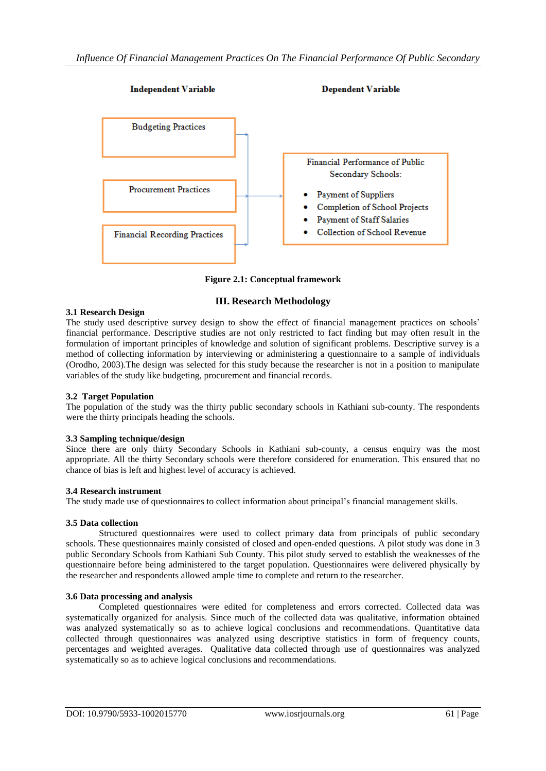

**Figure 2.1: Conceptual framework**

## **III. Research Methodology**

## **3.1 Research Design**

The study used descriptive survey design to show the effect of financial management practices on schools' financial performance. Descriptive studies are not only restricted to fact finding but may often result in the formulation of important principles of knowledge and solution of significant problems. Descriptive survey is a method of collecting information by interviewing or administering a questionnaire to a sample of individuals (Orodho, 2003).The design was selected for this study because the researcher is not in a position to manipulate variables of the study like budgeting, procurement and financial records.

## **3.2 Target Population**

The population of the study was the thirty public secondary schools in Kathiani sub-county. The respondents were the thirty principals heading the schools.

## **3.3 Sampling technique/design**

Since there are only thirty Secondary Schools in Kathiani sub-county, a census enquiry was the most appropriate. All the thirty Secondary schools were therefore considered for enumeration. This ensured that no chance of bias is left and highest level of accuracy is achieved.

#### **3.4 Research instrument**

The study made use of questionnaires to collect information about principal's financial management skills.

#### **3.5 Data collection**

Structured questionnaires were used to collect primary data from principals of public secondary schools. These questionnaires mainly consisted of closed and open-ended questions. A pilot study was done in 3 public Secondary Schools from Kathiani Sub County. This pilot study served to establish the weaknesses of the questionnaire before being administered to the target population. Questionnaires were delivered physically by the researcher and respondents allowed ample time to complete and return to the researcher.

## **3.6 Data processing and analysis**

Completed questionnaires were edited for completeness and errors corrected. Collected data was systematically organized for analysis. Since much of the collected data was qualitative, information obtained was analyzed systematically so as to achieve logical conclusions and recommendations. Quantitative data collected through questionnaires was analyzed using descriptive statistics in form of frequency counts, percentages and weighted averages. Qualitative data collected through use of questionnaires was analyzed systematically so as to achieve logical conclusions and recommendations.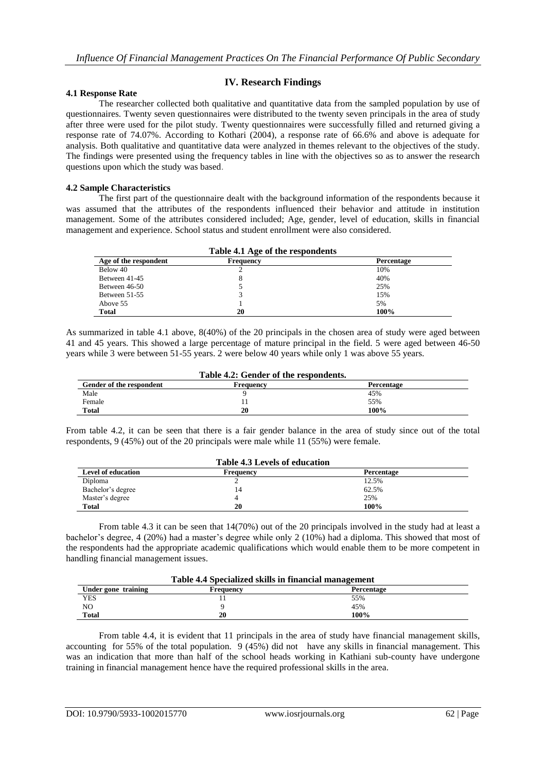## **IV. Research Findings**

#### **4.1 Response Rate**

The researcher collected both qualitative and quantitative data from the sampled population by use of questionnaires. Twenty seven questionnaires were distributed to the twenty seven principals in the area of study after three were used for the pilot study. Twenty questionnaires were successfully filled and returned giving a response rate of 74.07%. According to Kothari (2004), a response rate of 66.6% and above is adequate for analysis. Both qualitative and quantitative data were analyzed in themes relevant to the objectives of the study. The findings were presented using the frequency tables in line with the objectives so as to answer the research questions upon which the study was based.

#### **4.2 Sample Characteristics**

The first part of the questionnaire dealt with the background information of the respondents because it was assumed that the attributes of the respondents influenced their behavior and attitude in institution management. Some of the attributes considered included; Age, gender, level of education, skills in financial management and experience. School status and student enrollment were also considered.

| Table 4.1 Age of the respondents |           |            |  |  |
|----------------------------------|-----------|------------|--|--|
| Age of the respondent            | Frequency | Percentage |  |  |
| Below 40                         |           | 10%        |  |  |
| Between 41-45                    | 8         | 40%        |  |  |
| Between 46-50                    |           | 25%        |  |  |
| Between 51-55                    |           | 15%        |  |  |
| Above 55                         |           | 5%         |  |  |
| <b>Total</b>                     | 20        | 100%       |  |  |

As summarized in table 4.1 above, 8(40%) of the 20 principals in the chosen area of study were aged between 41 and 45 years. This showed a large percentage of mature principal in the field. 5 were aged between 46-50 years while 3 were between 51-55 years. 2 were below 40 years while only 1 was above 55 years.

| Table 4.2: Gender of the respondents. |           |            |  |  |
|---------------------------------------|-----------|------------|--|--|
| Gender of the respondent              | Frequency | Percentage |  |  |
| Male                                  |           | 45%        |  |  |
| Female                                |           | 55%        |  |  |
| <b>Total</b>                          | 20        | 100%       |  |  |

From table 4.2, it can be seen that there is a fair gender balance in the area of study since out of the total respondents, 9 (45%) out of the 20 principals were male while 11 (55%) were female.

| <b>Table 4.3 Levels of education</b> |           |            |  |
|--------------------------------------|-----------|------------|--|
| <b>Level of education</b>            | Frequency | Percentage |  |
| Diploma                              |           | 12.5%      |  |
| Bachelor's degree                    | 14        | 62.5%      |  |
| Master's degree                      |           | 25%        |  |
| <b>Total</b>                         | 20        | 100%       |  |

From table 4.3 it can be seen that 14(70%) out of the 20 principals involved in the study had at least a bachelor's degree, 4 (20%) had a master's degree while only 2 (10%) had a diploma. This showed that most of the respondents had the appropriate academic qualifications which would enable them to be more competent in handling financial management issues.

| Table 4.4 Specialized skills in financial management |    |      |  |  |  |
|------------------------------------------------------|----|------|--|--|--|
| Under gone training<br>Percentage<br>Frequency       |    |      |  |  |  |
| YES                                                  |    | 55%  |  |  |  |
| NO                                                   |    | 45%  |  |  |  |
| <b>Total</b>                                         | 20 | 100% |  |  |  |

From table 4.4, it is evident that 11 principals in the area of study have financial management skills, accounting for 55% of the total population.  $9(45%)$  did not have any skills in financial management. This was an indication that more than half of the school heads working in Kathiani sub-county have undergone training in financial management hence have the required professional skills in the area.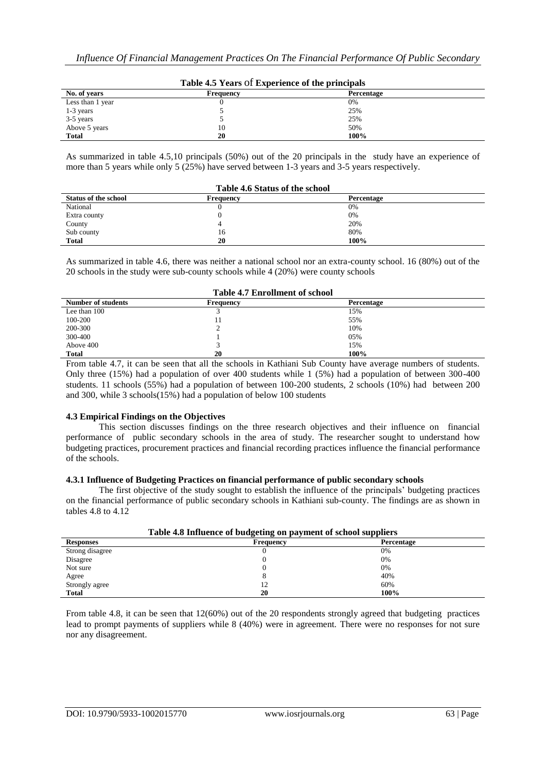| Lable 4.5 Tears of Experience of the principals |           |            |  |  |
|-------------------------------------------------|-----------|------------|--|--|
| No. of years                                    | Frequency | Percentage |  |  |
| Less than 1 year                                |           | 0%         |  |  |
| $1-3$ years                                     |           | 25%        |  |  |
| 3-5 years                                       |           | 25%        |  |  |
| Above 5 years                                   | 10        | 50%        |  |  |
| <b>Total</b>                                    | 20        | 100%       |  |  |

**Table 4.5 Years** of **Experience of the principals**

As summarized in table 4.5,10 principals (50%) out of the 20 principals in the study have an experience of more than 5 years while only 5 (25%) have served between 1-3 years and 3-5 years respectively.

| <b>Table 4.6 Status of the school</b> |           |            |  |
|---------------------------------------|-----------|------------|--|
| <b>Status of the school</b>           | Frequency | Percentage |  |
| National                              |           | 0%         |  |
| Extra county                          |           | 0%         |  |
| County                                |           | 20%        |  |
| Sub county                            | 16        | 80%        |  |
| <b>Total</b>                          | 20        | 100%       |  |

As summarized in table 4.6, there was neither a national school nor an extra-county school. 16 (80%) out of the 20 schools in the study were sub-county schools while 4 (20%) were county schools

| <b>Table 4.7 Enrollment of school</b> |           |            |  |
|---------------------------------------|-----------|------------|--|
| Number of students                    | Frequency | Percentage |  |
| Lee than 100                          |           | 15%        |  |
| 100-200                               |           | 55%        |  |
| 200-300                               |           | 10%        |  |
| 300-400                               |           | 05%        |  |
| Above 400                             |           | 15%        |  |
| <b>Total</b>                          | 20        | 100%       |  |

From table 4.7, it can be seen that all the schools in Kathiani Sub County have average numbers of students. Only three (15%) had a population of over 400 students while 1 (5%) had a population of between 300-400 students. 11 schools (55%) had a population of between 100-200 students, 2 schools (10%) had between 200 and 300, while 3 schools(15%) had a population of below 100 students

#### **4.3 Empirical Findings on the Objectives**

This section discusses findings on the three research objectives and their influence on financial performance of public secondary schools in the area of study. The researcher sought to understand how budgeting practices, procurement practices and financial recording practices influence the financial performance of the schools.

#### **4.3.1 Influence of Budgeting Practices on financial performance of public secondary schools**

The first objective of the study sought to establish the influence of the principals' budgeting practices on the financial performance of public secondary schools in Kathiani sub-county. The findings are as shown in tables 4.8 to 4.12

| Table 4.8 Influence of budgeting on payment of school suppliers |                  |                   |  |  |
|-----------------------------------------------------------------|------------------|-------------------|--|--|
| <b>Responses</b>                                                | <b>Frequency</b> | <b>Percentage</b> |  |  |
| Strong disagree                                                 |                  | 0%                |  |  |
| Disagree                                                        |                  | 0%                |  |  |
| Not sure                                                        |                  | 0%                |  |  |
| Agree                                                           |                  | 40%               |  |  |
| Strongly agree                                                  | 12               | 60%               |  |  |
| <b>Total</b>                                                    | 20               | 100%              |  |  |

From table 4.8, it can be seen that 12(60%) out of the 20 respondents strongly agreed that budgeting practices lead to prompt payments of suppliers while 8 (40%) were in agreement. There were no responses for not sure nor any disagreement.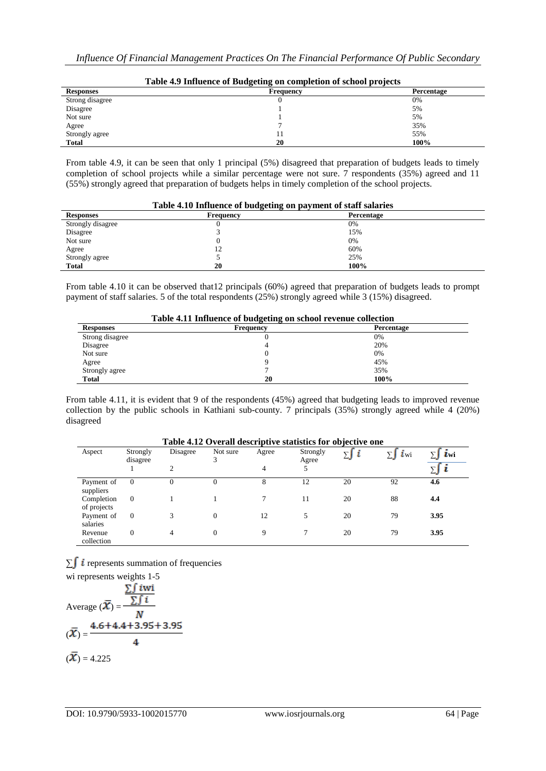| Table 4.9 Influence of Budgeting on completion of school projects |           |                   |  |  |
|-------------------------------------------------------------------|-----------|-------------------|--|--|
| <b>Responses</b>                                                  | Frequency | <b>Percentage</b> |  |  |
| Strong disagree                                                   |           | 0%                |  |  |
| Disagree                                                          |           | 5%                |  |  |
| Not sure                                                          |           | 5%                |  |  |
| Agree                                                             |           | 35%               |  |  |
| Strongly agree                                                    |           | 55%               |  |  |
| <b>Total</b>                                                      | 20        | 100%              |  |  |

From table 4.9, it can be seen that only 1 principal (5%) disagreed that preparation of budgets leads to timely completion of school projects while a similar percentage were not sure. 7 respondents (35%) agreed and 11 (55%) strongly agreed that preparation of budgets helps in timely completion of the school projects.

| Table 4.10 Influence of budgeting on payment of staff salaries |           |            |  |  |
|----------------------------------------------------------------|-----------|------------|--|--|
| <b>Responses</b>                                               | Frequency | Percentage |  |  |
| Strongly disagree                                              |           | 0%         |  |  |
| Disagree                                                       |           | 15%        |  |  |
| Not sure                                                       |           | 0%         |  |  |
| Agree                                                          |           | 60%        |  |  |
| Strongly agree                                                 |           | 25%        |  |  |
| <b>Total</b>                                                   | 20        | 100%       |  |  |

From table 4.10 it can be observed that12 principals (60%) agreed that preparation of budgets leads to prompt payment of staff salaries. 5 of the total respondents (25%) strongly agreed while 3 (15%) disagreed.

| Table 4.11 Influence of budgeting on school revenue collection |                  |            |  |  |
|----------------------------------------------------------------|------------------|------------|--|--|
| <b>Responses</b>                                               | <b>Frequency</b> | Percentage |  |  |
| Strong disagree                                                |                  | 0%         |  |  |
| Disagree                                                       |                  | 20%        |  |  |
| Not sure                                                       |                  | 0%         |  |  |
| Agree                                                          |                  | 45%        |  |  |
| Strongly agree                                                 |                  | 35%        |  |  |
| <b>Total</b>                                                   | 20               | 100%       |  |  |

From table 4.11, it is evident that 9 of the respondents (45%) agreed that budgeting leads to improved revenue collection by the public schools in Kathiani sub-county. 7 principals (35%) strongly agreed while 4 (20%) disagreed

| Table 4.12 Overall descriptive statistics for objective one |                      |                |               |       |                   |    |                       |      |
|-------------------------------------------------------------|----------------------|----------------|---------------|-------|-------------------|----|-----------------------|------|
| Aspect                                                      | Strongly<br>disagree | Disagree       | Not sure<br>3 | Agree | Strongly<br>Agree | ∑∫ | $\overline{\iota}$ wi | Lwi  |
|                                                             |                      | $\overline{c}$ |               | 4     | 5                 |    |                       |      |
| Payment of<br>suppliers                                     | $\Omega$             | $_{0}$         | 0             | 8     | 12                | 20 | 92                    | 4.6  |
| Completion<br>of projects                                   | $\overline{0}$       |                |               |       | 11                | 20 | 88                    | 4.4  |
| Payment of<br>salaries                                      | $\overline{0}$       |                | $\theta$      | 12    | 5                 | 20 | 79                    | 3.95 |
| Revenue<br>collection                                       | $\mathbf{0}$         | 4              | $\Omega$      | 9     |                   | 20 | 79                    | 3.95 |

∑ $\int$  *i* represents summation of frequencies

wi represents weights 1-5  
\nAverage 
$$
(\overline{X}) = \frac{\sum f i \text{Wi}}{N}
$$
  
\n $(\overline{X}) = \frac{4.6 + 4.4 + 3.95 + 3.95}{4}$   
\n $(\overline{X}) = 4.225$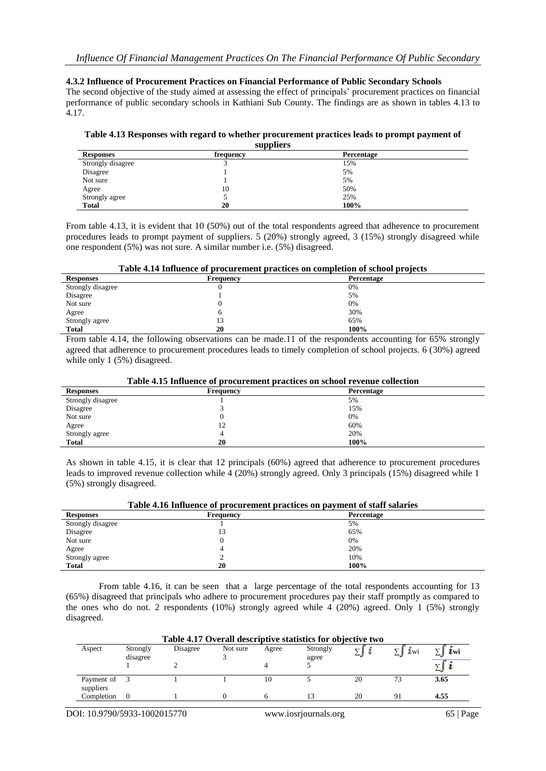#### **4.3.2 Influence of Procurement Practices on Financial Performance of Public Secondary Schools**

The second objective of the study aimed at assessing the effect of principals' procurement practices on financial performance of public secondary schools in Kathiani Sub County. The findings are as shown in tables 4.13 to 4.17.

#### **Table 4.13 Responses with regard to whether procurement practices leads to prompt payment of suppliers**

| $v_{\rm up}$ pnero |           |            |  |
|--------------------|-----------|------------|--|
| <b>Responses</b>   | frequency | Percentage |  |
| Strongly disagree  |           | 15%        |  |
| Disagree           |           | 5%         |  |
| Not sure           |           | 5%         |  |
| Agree              | 10        | 50%        |  |
| Strongly agree     |           | 25%        |  |
| <b>Total</b>       | 20        | 100%       |  |

From table 4.13, it is evident that 10 (50%) out of the total respondents agreed that adherence to procurement procedures leads to prompt payment of suppliers. 5 (20%) strongly agreed, 3 (15%) strongly disagreed while one respondent (5%) was not sure. A similar number i.e. (5%) disagreed.

|  |  | Table 4.14 Influence of procurement practices on completion of school projects |
|--|--|--------------------------------------------------------------------------------|
|--|--|--------------------------------------------------------------------------------|

| <b>Responses</b>  | Frequency | Percentage |  |
|-------------------|-----------|------------|--|
| Strongly disagree |           | 0%         |  |
| Disagree          |           | 5%         |  |
| Not sure          |           | 0%         |  |
| Agree             |           | 30%        |  |
| Strongly agree    | 13        | 65%        |  |
| <b>Total</b>      | 20        | 100%       |  |

From table 4.14, the following observations can be made.11 of the respondents accounting for 65% strongly agreed that adherence to procurement procedures leads to timely completion of school projects. 6 (30%) agreed while only 1 (5%) disagreed.

| <b>Responses</b>  | Frequency | Percentage |  |
|-------------------|-----------|------------|--|
| Strongly disagree |           | 5%         |  |
| Disagree          |           | 15%        |  |
| Not sure          | U         | 0%         |  |
| Agree             | 12        | 60%        |  |
| Strongly agree    |           | 20%        |  |
| <b>Total</b>      | 20        | 100%       |  |

As shown in table 4.15, it is clear that 12 principals (60%) agreed that adherence to procurement procedures leads to improved revenue collection while 4 (20%) strongly agreed. Only 3 principals (15%) disagreed while 1 (5%) strongly disagreed.

| <b>Responses</b>  | Frequency | Percentage |  |
|-------------------|-----------|------------|--|
| Strongly disagree |           | 5%         |  |
| Disagree          | 13        | 65%        |  |
| Not sure          |           | 0%         |  |
| Agree             |           | 20%        |  |
| Strongly agree    |           | 10%        |  |
| <b>Total</b>      | 20        | 100%       |  |

From table 4.16, it can be seen that a large percentage of the total respondents accounting for 13 (65%) disagreed that principals who adhere to procurement procedures pay their staff promptly as compared to the ones who do not. 2 respondents (10%) strongly agreed while 4 (20%) agreed. Only 1 (5%) strongly disagreed.

| Table 4.17 Overall descriptive statistics for objective two |                      |          |          |       |                   |    |     |      |
|-------------------------------------------------------------|----------------------|----------|----------|-------|-------------------|----|-----|------|
| Aspect                                                      | Strongly<br>disagree | Disagree | Not sure | Agree | Strongly<br>agree |    | Lwi | Lwi  |
|                                                             |                      |          |          |       |                   |    |     |      |
| Payment of<br>suppliers                                     |                      |          |          | 10    |                   | 20 | 73  | 3.65 |
| Completion                                                  |                      |          |          |       |                   | 20 | 91  | 4.55 |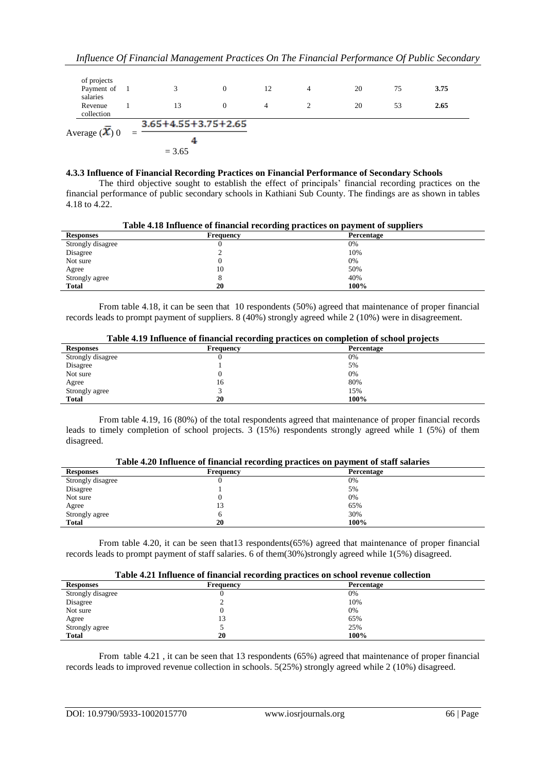| Average $(\overline{\mathbf{\mathcal{X}}})$ 0 | $=$ | $3.65 + 4.55 + 3.75 + 2.65$ |          |    |   |    |    |      |  |
|-----------------------------------------------|-----|-----------------------------|----------|----|---|----|----|------|--|
| Revenue<br>collection                         |     | 13                          | $\Omega$ | 4  |   | 20 | 53 | 2.65 |  |
| of projects<br>Payment of<br>salaries         |     | $\mathbf{z}$                | $\Omega$ | 12 | 4 | 20 | 75 | 3.75 |  |
|                                               |     |                             |          |    |   |    |    |      |  |

#### **4.3.3 Influence of Financial Recording Practices on Financial Performance of Secondary Schools**

The third objective sought to establish the effect of principals' financial recording practices on the financial performance of public secondary schools in Kathiani Sub County. The findings are as shown in tables 4.18 to 4.22.

| Table 4.18 Influence of financial recording practices on payment of suppliers |                  |            |  |
|-------------------------------------------------------------------------------|------------------|------------|--|
| <b>Responses</b>                                                              | <b>Frequency</b> | Percentage |  |
| Strongly disagree                                                             |                  | 0%         |  |
| Disagree                                                                      |                  | 10%        |  |
| Not sure                                                                      |                  | 0%         |  |
| Agree                                                                         | 10               | 50%        |  |
| Strongly agree                                                                |                  | 40%        |  |
| <b>Total</b>                                                                  | 20               | 100%       |  |

From table 4.18, it can be seen that 10 respondents (50%) agreed that maintenance of proper financial records leads to prompt payment of suppliers. 8 (40%) strongly agreed while 2 (10%) were in disagreement.

| Table 4.19 Influence of financial recording practices on completion of school projects |  |  |
|----------------------------------------------------------------------------------------|--|--|
|----------------------------------------------------------------------------------------|--|--|

| <b>Responses</b>  | - -<br><b>Frequency</b> | - -<br>Percentage |
|-------------------|-------------------------|-------------------|
| Strongly disagree |                         | 0%                |
| Disagree          |                         | 5%                |
| Not sure          |                         | 0%                |
| Agree             | 16                      | 80%               |
| Strongly agree    |                         | 15%               |
| <b>Total</b>      | 20                      | 100%              |

From table 4.19, 16 (80%) of the total respondents agreed that maintenance of proper financial records leads to timely completion of school projects. 3 (15%) respondents strongly agreed while 1 (5%) of them disagreed.

|                   | Table 4.20 Influence of Inflational Fecolumn practices on payment of start salaries |            |  |  |  |
|-------------------|-------------------------------------------------------------------------------------|------------|--|--|--|
| <b>Responses</b>  | Frequency                                                                           | Percentage |  |  |  |
| Strongly disagree |                                                                                     | 0%         |  |  |  |
| Disagree          |                                                                                     | 5%         |  |  |  |
| Not sure          |                                                                                     | 0%         |  |  |  |
| Agree             | 13                                                                                  | 65%        |  |  |  |
| Strongly agree    |                                                                                     | 30%        |  |  |  |
| <b>Total</b>      | 20                                                                                  | 100%       |  |  |  |
|                   |                                                                                     |            |  |  |  |

**Table 4.20 Influence of financial recording practices on payment of staff salaries**

From table 4.20, it can be seen that13 respondents(65%) agreed that maintenance of proper financial records leads to prompt payment of staff salaries. 6 of them(30%)strongly agreed while 1(5%) disagreed.

|                   | <del></del> |            |  |  |  |  |
|-------------------|-------------|------------|--|--|--|--|
| <b>Responses</b>  | Frequency   | Percentage |  |  |  |  |
| Strongly disagree | .,          | 0%         |  |  |  |  |
| Disagree          |             | 10%        |  |  |  |  |
| Not sure          |             | 0%         |  |  |  |  |
| Agree             | 13          | 65%        |  |  |  |  |
| Strongly agree    |             | 25%        |  |  |  |  |
| <b>Total</b>      | 20          | 100%       |  |  |  |  |

From table 4.21 , it can be seen that 13 respondents (65%) agreed that maintenance of proper financial records leads to improved revenue collection in schools. 5(25%) strongly agreed while 2 (10%) disagreed.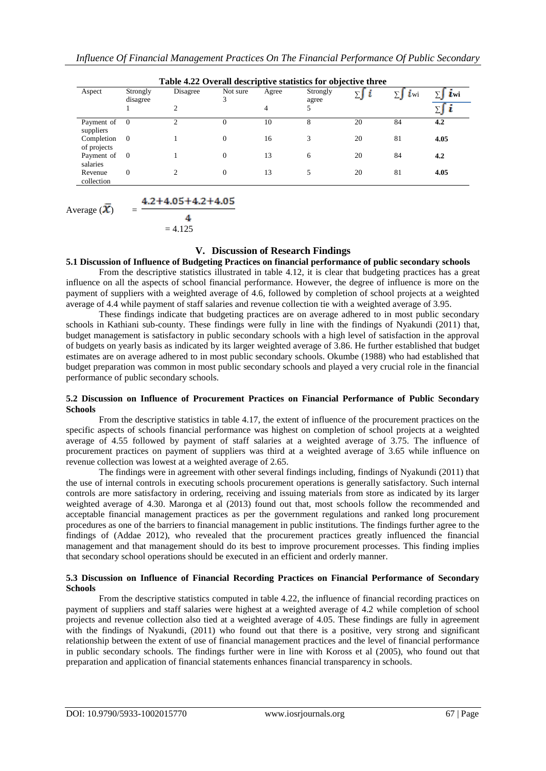| Aspect                    | Strongly<br>disagree | Disagree<br>$\overline{c}$  | Not sure<br>3  | Agree<br>4 | Strongly<br>agree<br>5 | ∑∫ | $\dot{l}$ wi | $\mathbf{L}$ wi |
|---------------------------|----------------------|-----------------------------|----------------|------------|------------------------|----|--------------|-----------------|
|                           |                      |                             |                |            |                        |    |              |                 |
| Completion<br>of projects | $\overline{0}$       |                             | $\overline{0}$ | 16         | 3                      | 20 | 81           | 4.05            |
| Payment of<br>salaries    | $\overline{0}$       |                             | $\overline{0}$ | 13         | 6                      | 20 | 84           | 4.2             |
| Revenue<br>collection     | $\theta$             | $\mathcal{D}_{\mathcal{L}}$ | $\overline{0}$ | 13         | 5                      | 20 | 81           | 4.05            |

Average  $(X)$  = Δ.  $= 4.125$ 

## **V. Discussion of Research Findings**

#### **5.1 Discussion of Influence of Budgeting Practices on financial performance of public secondary schools**

From the descriptive statistics illustrated in table 4.12, it is clear that budgeting practices has a great influence on all the aspects of school financial performance. However, the degree of influence is more on the payment of suppliers with a weighted average of 4.6, followed by completion of school projects at a weighted average of 4.4 while payment of staff salaries and revenue collection tie with a weighted average of 3.95.

These findings indicate that budgeting practices are on average adhered to in most public secondary schools in Kathiani sub-county. These findings were fully in line with the findings of Nyakundi (2011) that, budget management is satisfactory in public secondary schools with a high level of satisfaction in the approval of budgets on yearly basis as indicated by its larger weighted average of 3.86. He further established that budget estimates are on average adhered to in most public secondary schools. Okumbe (1988) who had established that budget preparation was common in most public secondary schools and played a very crucial role in the financial performance of public secondary schools.

#### **5.2 Discussion on Influence of Procurement Practices on Financial Performance of Public Secondary Schools**

From the descriptive statistics in table 4.17, the extent of influence of the procurement practices on the specific aspects of schools financial performance was highest on completion of school projects at a weighted average of 4.55 followed by payment of staff salaries at a weighted average of 3.75. The influence of procurement practices on payment of suppliers was third at a weighted average of 3.65 while influence on revenue collection was lowest at a weighted average of 2.65.

The findings were in agreement with other several findings including, findings of Nyakundi (2011) that the use of internal controls in executing schools procurement operations is generally satisfactory. Such internal controls are more satisfactory in ordering, receiving and issuing materials from store as indicated by its larger weighted average of 4.30. Maronga et al (2013) found out that, most schools follow the recommended and acceptable financial management practices as per the government regulations and ranked long procurement procedures as one of the barriers to financial management in public institutions. The findings further agree to the findings of (Addae 2012), who revealed that the procurement practices greatly influenced the financial management and that management should do its best to improve procurement processes. This finding implies that secondary school operations should be executed in an efficient and orderly manner.

#### **5.3 Discussion on Influence of Financial Recording Practices on Financial Performance of Secondary Schools**

From the descriptive statistics computed in table 4.22, the influence of financial recording practices on payment of suppliers and staff salaries were highest at a weighted average of 4.2 while completion of school projects and revenue collection also tied at a weighted average of 4.05. These findings are fully in agreement with the findings of Nyakundi, (2011) who found out that there is a positive, very strong and significant relationship between the extent of use of financial management practices and the level of financial performance in public secondary schools. The findings further were in line with Koross et al (2005), who found out that preparation and application of financial statements enhances financial transparency in schools.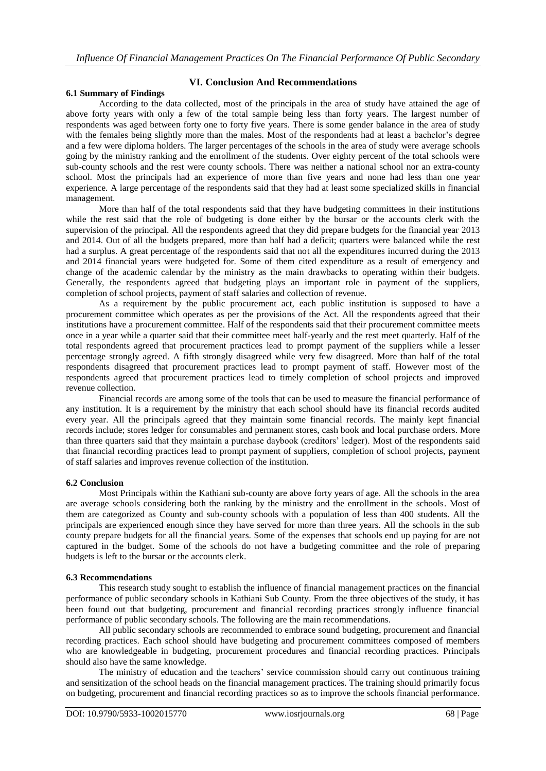## **VI. Conclusion And Recommendations**

## **6.1 Summary of Findings**

According to the data collected, most of the principals in the area of study have attained the age of above forty years with only a few of the total sample being less than forty years. The largest number of respondents was aged between forty one to forty five years. There is some gender balance in the area of study with the females being slightly more than the males. Most of the respondents had at least a bachelor's degree and a few were diploma holders. The larger percentages of the schools in the area of study were average schools going by the ministry ranking and the enrollment of the students. Over eighty percent of the total schools were sub-county schools and the rest were county schools. There was neither a national school nor an extra-county school. Most the principals had an experience of more than five years and none had less than one year experience. A large percentage of the respondents said that they had at least some specialized skills in financial management.

More than half of the total respondents said that they have budgeting committees in their institutions while the rest said that the role of budgeting is done either by the bursar or the accounts clerk with the supervision of the principal. All the respondents agreed that they did prepare budgets for the financial year 2013 and 2014. Out of all the budgets prepared, more than half had a deficit; quarters were balanced while the rest had a surplus. A great percentage of the respondents said that not all the expenditures incurred during the 2013 and 2014 financial years were budgeted for. Some of them cited expenditure as a result of emergency and change of the academic calendar by the ministry as the main drawbacks to operating within their budgets. Generally, the respondents agreed that budgeting plays an important role in payment of the suppliers, completion of school projects, payment of staff salaries and collection of revenue.

As a requirement by the public procurement act, each public institution is supposed to have a procurement committee which operates as per the provisions of the Act. All the respondents agreed that their institutions have a procurement committee. Half of the respondents said that their procurement committee meets once in a year while a quarter said that their committee meet half-yearly and the rest meet quarterly. Half of the total respondents agreed that procurement practices lead to prompt payment of the suppliers while a lesser percentage strongly agreed. A fifth strongly disagreed while very few disagreed. More than half of the total respondents disagreed that procurement practices lead to prompt payment of staff. However most of the respondents agreed that procurement practices lead to timely completion of school projects and improved revenue collection.

Financial records are among some of the tools that can be used to measure the financial performance of any institution. It is a requirement by the ministry that each school should have its financial records audited every year. All the principals agreed that they maintain some financial records. The mainly kept financial records include; stores ledger for consumables and permanent stores, cash book and local purchase orders. More than three quarters said that they maintain a purchase daybook (creditors' ledger). Most of the respondents said that financial recording practices lead to prompt payment of suppliers, completion of school projects, payment of staff salaries and improves revenue collection of the institution.

#### **6.2 Conclusion**

Most Principals within the Kathiani sub-county are above forty years of age. All the schools in the area are average schools considering both the ranking by the ministry and the enrollment in the schools. Most of them are categorized as County and sub-county schools with a population of less than 400 students. All the principals are experienced enough since they have served for more than three years. All the schools in the sub county prepare budgets for all the financial years. Some of the expenses that schools end up paying for are not captured in the budget. Some of the schools do not have a budgeting committee and the role of preparing budgets is left to the bursar or the accounts clerk.

#### **6.3 Recommendations**

This research study sought to establish the influence of financial management practices on the financial performance of public secondary schools in Kathiani Sub County. From the three objectives of the study, it has been found out that budgeting, procurement and financial recording practices strongly influence financial performance of public secondary schools. The following are the main recommendations.

All public secondary schools are recommended to embrace sound budgeting, procurement and financial recording practices. Each school should have budgeting and procurement committees composed of members who are knowledgeable in budgeting, procurement procedures and financial recording practices. Principals should also have the same knowledge.

The ministry of education and the teachers' service commission should carry out continuous training and sensitization of the school heads on the financial management practices. The training should primarily focus on budgeting, procurement and financial recording practices so as to improve the schools financial performance.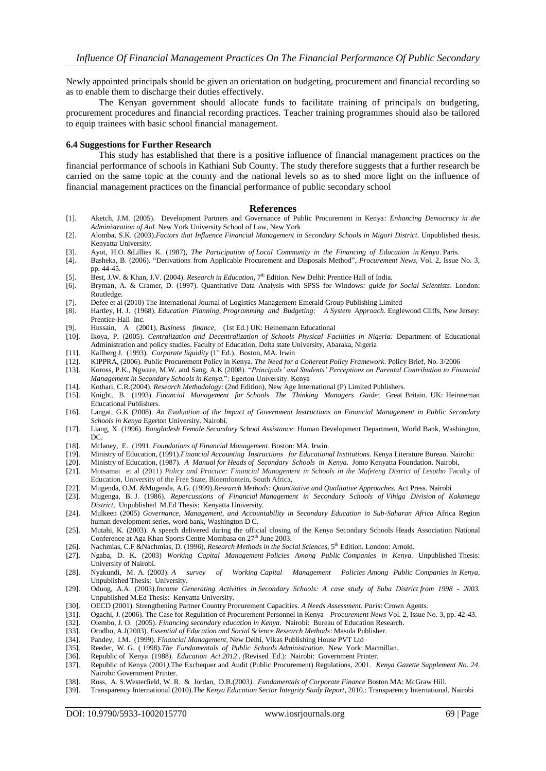Newly appointed principals should be given an orientation on budgeting, procurement and financial recording so as to enable them to discharge their duties effectively.

The Kenyan government should allocate funds to facilitate training of principals on budgeting, procurement procedures and financial recording practices. Teacher training programmes should also be tailored to equip trainees with basic school financial management.

#### **6.4 Suggestions for Further Research**

This study has established that there is a positive influence of financial management practices on the financial performance of schools in Kathiani Sub County. The study therefore suggests that a further research be carried on the same topic at the county and the national levels so as to shed more light on the influence of financial management practices on the financial performance of public secondary school

#### **References**

- [1]. Aketch, J.M. (2005). Development Partners and Governance of Public Procurement in Kenya*: Enhancing Democracy in the Administration of Aid.* New York University School of Law, New York
- [2]. Alomba, S.K. (2003).*Factors that Influence Financial Management in Secondary Schools in Migori District*. Unpublished thesis, Kenyatta University.
- [3]. Ayot, H.O. &Lillies K. (1987), *The Participation of Local Community in the Financing of Education in Kenya*. Paris.
- [4]. Basheka, B. (2006). "Derivations from Applicable Procurement and Disposals Method", *Procurement News,* Vol. 2, Issue No. 3, pp. 44-45.
- [5]. Best, J.W. & Khan, J.V. (2004). *Research in Education*, 7<sup>th</sup> Edition. New Delhi: Prentice Hall of India.
- [6]. Bryman, A. & Cramer, D. (1997). Quantitative Data Analysis with SPSS for Windows*: guide for Social Scientists*. London: Routledge.
- [7]. Defee et al (2010) The International Journal of Logistics Management Emerald Group Publishing Limited
- [8]. Hartley, H. J. (1968). *Education Planning, Programming and Budgeting: A System Approach.* Englewood Cliffs, New Jersey: Prentice-Hall Inc.
- [9]. Hussain, A (2001). *Business finance,* (1st Ed.) UK: Heinemann Educational
- [10]. Ikoya, P. (2005). *Centralization and Decentralization of Schools Physical Facilities in Nigeria:* Department of Educational Administration and policy studies. Faculty of Education, Delta state University, Abaraka, Nigeria
- [11]. Kallberg J. (1993). *Corporate liquidity* (1<sup>st</sup> Ed.). Boston, MA. Irwin
- [12]. KIPPRA, (2006). Public Procurement Policy in Kenya. *The Need for a Coherent Policy Framework*. Policy Brief, No. 3/2006
- [13]. Koross, P.K., Ngware, M.W. and Sang, A.K (2008). "*Principals' and Students' Perceptions on Parental Contribution to Financial Management in Secondary Schools in Kenya.*": Egerton University. Kenya
- [14]. Kothari, C.R.(2004). *Research Methodology*: (2nd Edition), New Age International (P) Limited Publishers.
- [15]. Knight, B. (1993). *Financial Management for Schools The Thinking Managers Guide*; Great Britain. UK: Heinneman Educational Publishers.
- [16]. Langat, G.K (2008). *An Evaluation of the Impact of Government Instructions on Financial Management in Public Secondary Schools in Kenya* Egerton University. Nairobi.
- [17]. Liang, X. (1996). *Bangladesh Female Secondary School Assistance*: Human Development Department, World Bank, Washington, DC.
- 
- [18]. Mclaney, E. (1991. *Foundations of Financial Management*. Boston: MA. Irwin. [19]. Ministry of Education, (1991).*Financial Accounting Instructions for Educational Institutions.* Kenya Literature Bureau. Nairobi:
- [20]. Ministry of Education, (1987). *A Manual for Heads of Secondary Schools in Kenya.* Jomo Kenyatta Foundation. Nairobi,
- [21]. Motsamai et al (2011) *Policy and Practice: Financial Management in Schools in the Mafeteng District of Lesotho* Faculty of Education, University of the Free State, Bloemfontein, South Africa,
- [22]. Mugenda, O.M. &Mugenda, A.G. (1999).*Research Methods: Quantitative and Qualitative Approaches.* Act Press. Nairobi
- [23]. Mugenga, B. J. (1986). *Repercussions of Financial Management in Secondary Schools of Vihiga Division of Kakamega District*, Unpublished M.Ed Thesis: Kenyatta University.
- [24]. Mulkeen (2005) *Governance, Management, and Accountability in Secondary Education in Sub-Saharan Africa* [Africa Region](https://www.google.co.ke/search?tbo=p&tbm=bks&q=bibliogroup:%22Africa+Region+human+development+series%22&source=gbs_metadata_r&cad=6)  [human development series,](https://www.google.co.ke/search?tbo=p&tbm=bks&q=bibliogroup:%22Africa+Region+human+development+series%22&source=gbs_metadata_r&cad=6) word bank, Washington D C.
- [25]. Mutahi, K. (2003). A speech delivered during the official closing of the Kenya Secondary Schools Heads Association National Conference at Aga Khan Sports Centre Mombasa on 27<sup>th</sup> June 2003.
- [26]. Nachmias, C.F &Nachmias, D. (1996), *Research Methods in the Social Sciences*, 5<sup>th</sup> Edition. London: Arnold.
- [27]. Ngaba, D. K. (2003) *Working Capital Management Policies Among Public Companies in Kenya*. Unpublished Thesis: University of Nairobi.
- [28]. Nyakundi, M. A. (2003). *A survey of Working Capital Management Policies Among Public Companies in Kenya*, Unpublished Thesis: University.
- [29]. Oduog, A.A. (2003).*Income Generating Activities in Secondary Schools: A case study of Suba District from 1998 2003.* Unpublished M.Ed Thesis: Kenyatta University.
- [30]. OECD (2001). Strengthening Partner Country Procurement Capacities*. A Needs Assessment. Paris*: Crown Agents.
- [31]. Ogachi, J. (2006). The Case for Regulation of Procurement Personnel in Kenya *Procurement News* Vol. 2, Issue No. 3, pp. 42-43.
- [32]. Olembo, J. O. (2005). *Financing secondary education in Kenya*. Nairobi: Bureau of Education Research.
- [33]. Orodho, A.J(2003). *Essential of Education and Social Science Research Methods*: Masola Publisher.
- [34]. Pandey, I.M. (1999). *Financial Management,* New Delhi, Vikas Publishing House PVT Ltd
- [35]. Reeder, W. G. ( 1998).*The Fundamentals of Public Schools Administration*, New York: Macmillan.
- [36]. Republic of Kenya (1988). *Education Act 2012 . (*Revised Ed.): Nairobi: Government Printer.
- [37]. Republic of Kenya (2001*).*The Exchequer and Audit (Public Procurement) Regulations, 2001. *Kenya Gazette Supplement No. 24*. Nairobi: Government Printer.
- [38]. Ross, A. S.Westerfield, W. R. & Jordan, D.B.(2003*). Fundamentals of Corporate Finance* Boston MA: McGraw Hill.
- [39]. Transparency International (2010).*The Kenya Education Sector Integrity Study Report*, 2010.: Transparency International. Nairobi